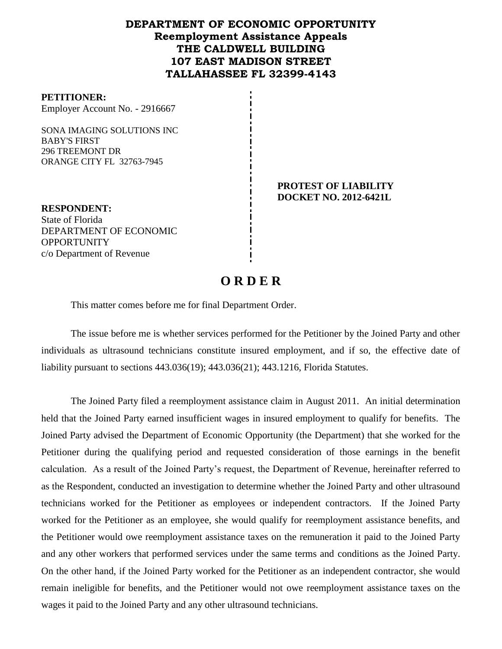## **DEPARTMENT OF ECONOMIC OPPORTUNITY Reemployment Assistance Appeals THE CALDWELL BUILDING 107 EAST MADISON STREET TALLAHASSEE FL 32399-4143**

#### **PETITIONER:**

Employer Account No. - 2916667

SONA IMAGING SOLUTIONS INC BABY'S FIRST 296 TREEMONT DR ORANGE CITY FL 32763-7945

> **PROTEST OF LIABILITY DOCKET NO. 2012-6421L**

**RESPONDENT:** State of Florida DEPARTMENT OF ECONOMIC **OPPORTUNITY** c/o Department of Revenue

# **O R D E R**

This matter comes before me for final Department Order.

The issue before me is whether services performed for the Petitioner by the Joined Party and other individuals as ultrasound technicians constitute insured employment, and if so, the effective date of liability pursuant to sections 443.036(19); 443.036(21); 443.1216, Florida Statutes.

The Joined Party filed a reemployment assistance claim in August 2011.An initial determination held that the Joined Party earned insufficient wages in insured employment to qualify for benefits. The Joined Party advised the Department of Economic Opportunity (the Department) that she worked for the Petitioner during the qualifying period and requested consideration of those earnings in the benefit calculation. As a result of the Joined Party's request, the Department of Revenue, hereinafter referred to as the Respondent, conducted an investigation to determine whether the Joined Party and other ultrasound technicians worked for the Petitioner as employees or independent contractors. If the Joined Party worked for the Petitioner as an employee, she would qualify for reemployment assistance benefits, and the Petitioner would owe reemployment assistance taxes on the remuneration it paid to the Joined Party and any other workers that performed services under the same terms and conditions as the Joined Party. On the other hand, if the Joined Party worked for the Petitioner as an independent contractor, she would remain ineligible for benefits, and the Petitioner would not owe reemployment assistance taxes on the wages it paid to the Joined Party and any other ultrasound technicians.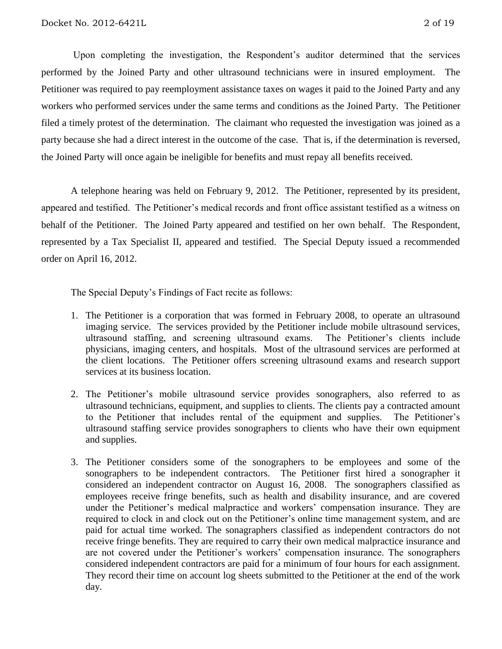Upon completing the investigation, the Respondent's auditor determined that the services performed by the Joined Party and other ultrasound technicians were in insured employment. The Petitioner was required to pay reemployment assistance taxes on wages it paid to the Joined Party and any workers who performed services under the same terms and conditions as the Joined Party.The Petitioner filed a timely protest of the determination.The claimant who requested the investigation was joined as a party because she had a direct interest in the outcome of the case. That is, if the determination is reversed, the Joined Party will once again be ineligible for benefits and must repay all benefits received.

A telephone hearing was held on February 9, 2012.The Petitioner, represented by its president, appeared and testified. The Petitioner's medical records and front office assistant testified as a witness on behalf of the Petitioner. The Joined Party appeared and testified on her own behalf. The Respondent, represented by a Tax Specialist II, appeared and testified. The Special Deputy issued a recommended order on April 16, 2012.

The Special Deputy's Findings of Fact recite as follows:

- 1. The Petitioner is a corporation that was formed in February 2008, to operate an ultrasound imaging service. The services provided by the Petitioner include mobile ultrasound services, ultrasound staffing, and screening ultrasound exams. The Petitioner's clients include physicians, imaging centers, and hospitals. Most of the ultrasound services are performed at the client locations. The Petitioner offers screening ultrasound exams and research support services at its business location.
- 2. The Petitioner's mobile ultrasound service provides sonographers, also referred to as ultrasound technicians, equipment, and supplies to clients. The clients pay a contracted amount to the Petitioner that includes rental of the equipment and supplies. The Petitioner's ultrasound staffing service provides sonographers to clients who have their own equipment and supplies.
- 3. The Petitioner considers some of the sonographers to be employees and some of the sonographers to be independent contractors. The Petitioner first hired a sonographer it considered an independent contractor on August 16, 2008. The sonographers classified as employees receive fringe benefits, such as health and disability insurance, and are covered under the Petitioner's medical malpractice and workers' compensation insurance. They are required to clock in and clock out on the Petitioner's online time management system, and are paid for actual time worked. The sonagraphers classified as independent contractors do not receive fringe benefits. They are required to carry their own medical malpractice insurance and are not covered under the Petitioner's workers' compensation insurance. The sonographers considered independent contractors are paid for a minimum of four hours for each assignment. They record their time on account log sheets submitted to the Petitioner at the end of the work day.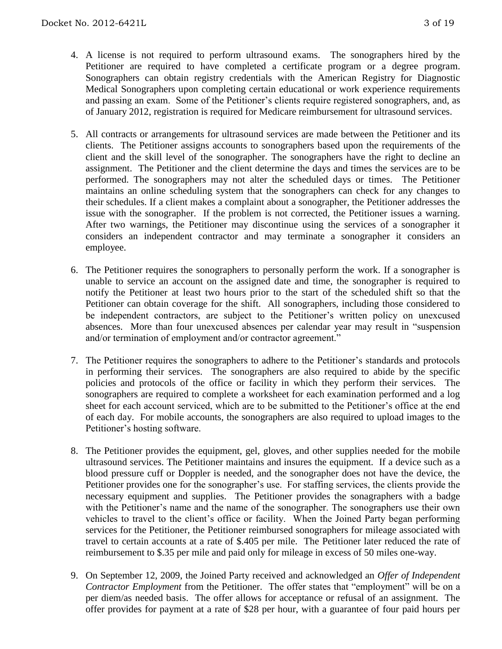- 4. A license is not required to perform ultrasound exams. The sonographers hired by the Petitioner are required to have completed a certificate program or a degree program. Sonographers can obtain registry credentials with the American Registry for Diagnostic Medical Sonographers upon completing certain educational or work experience requirements and passing an exam. Some of the Petitioner's clients require registered sonographers, and, as of January 2012, registration is required for Medicare reimbursement for ultrasound services.
- 5. All contracts or arrangements for ultrasound services are made between the Petitioner and its clients. The Petitioner assigns accounts to sonographers based upon the requirements of the client and the skill level of the sonographer. The sonographers have the right to decline an assignment. The Petitioner and the client determine the days and times the services are to be performed. The sonographers may not alter the scheduled days or times. The Petitioner maintains an online scheduling system that the sonographers can check for any changes to their schedules. If a client makes a complaint about a sonographer, the Petitioner addresses the issue with the sonographer. If the problem is not corrected, the Petitioner issues a warning. After two warnings, the Petitioner may discontinue using the services of a sonographer it considers an independent contractor and may terminate a sonographer it considers an employee.
- 6. The Petitioner requires the sonographers to personally perform the work. If a sonographer is unable to service an account on the assigned date and time, the sonographer is required to notify the Petitioner at least two hours prior to the start of the scheduled shift so that the Petitioner can obtain coverage for the shift. All sonographers, including those considered to be independent contractors, are subject to the Petitioner's written policy on unexcused absences. More than four unexcused absences per calendar year may result in "suspension and/or termination of employment and/or contractor agreement."
- 7. The Petitioner requires the sonographers to adhere to the Petitioner's standards and protocols in performing their services. The sonographers are also required to abide by the specific policies and protocols of the office or facility in which they perform their services. The sonographers are required to complete a worksheet for each examination performed and a log sheet for each account serviced, which are to be submitted to the Petitioner's office at the end of each day. For mobile accounts, the sonographers are also required to upload images to the Petitioner's hosting software.
- 8. The Petitioner provides the equipment, gel, gloves, and other supplies needed for the mobile ultrasound services. The Petitioner maintains and insures the equipment. If a device such as a blood pressure cuff or Doppler is needed, and the sonographer does not have the device, the Petitioner provides one for the sonographer's use. For staffing services, the clients provide the necessary equipment and supplies. The Petitioner provides the sonagraphers with a badge with the Petitioner's name and the name of the sonographer. The sonographers use their own vehicles to travel to the client's office or facility. When the Joined Party began performing services for the Petitioner, the Petitioner reimbursed sonographers for mileage associated with travel to certain accounts at a rate of \$.405 per mile. The Petitioner later reduced the rate of reimbursement to \$.35 per mile and paid only for mileage in excess of 50 miles one-way.
- 9. On September 12, 2009, the Joined Party received and acknowledged an *Offer of Independent Contractor Employment* from the Petitioner. The offer states that "employment" will be on a per diem/as needed basis. The offer allows for acceptance or refusal of an assignment. The offer provides for payment at a rate of \$28 per hour, with a guarantee of four paid hours per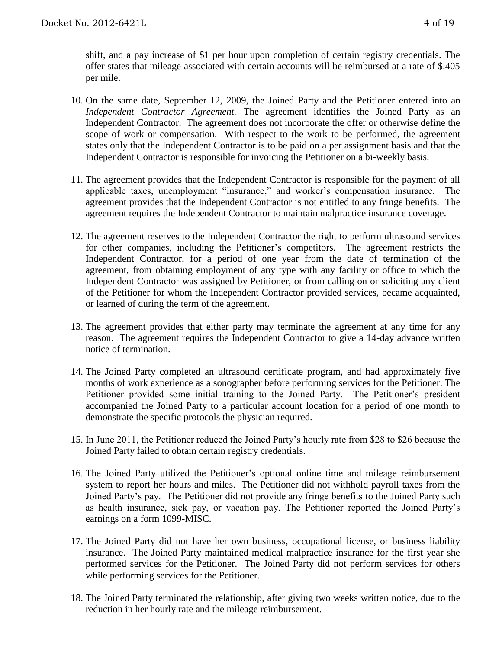- 10. On the same date, September 12, 2009, the Joined Party and the Petitioner entered into an *Independent Contractor Agreement.* The agreement identifies the Joined Party as an Independent Contractor. The agreement does not incorporate the offer or otherwise define the scope of work or compensation. With respect to the work to be performed, the agreement states only that the Independent Contractor is to be paid on a per assignment basis and that the Independent Contractor is responsible for invoicing the Petitioner on a bi-weekly basis.
- 11. The agreement provides that the Independent Contractor is responsible for the payment of all applicable taxes, unemployment "insurance," and worker's compensation insurance. The agreement provides that the Independent Contractor is not entitled to any fringe benefits. The agreement requires the Independent Contractor to maintain malpractice insurance coverage.
- 12. The agreement reserves to the Independent Contractor the right to perform ultrasound services for other companies, including the Petitioner's competitors. The agreement restricts the Independent Contractor, for a period of one year from the date of termination of the agreement, from obtaining employment of any type with any facility or office to which the Independent Contractor was assigned by Petitioner, or from calling on or soliciting any client of the Petitioner for whom the Independent Contractor provided services, became acquainted, or learned of during the term of the agreement.
- 13. The agreement provides that either party may terminate the agreement at any time for any reason. The agreement requires the Independent Contractor to give a 14-day advance written notice of termination.
- 14. The Joined Party completed an ultrasound certificate program, and had approximately five months of work experience as a sonographer before performing services for the Petitioner. The Petitioner provided some initial training to the Joined Party. The Petitioner's president accompanied the Joined Party to a particular account location for a period of one month to demonstrate the specific protocols the physician required.
- 15. In June 2011, the Petitioner reduced the Joined Party's hourly rate from \$28 to \$26 because the Joined Party failed to obtain certain registry credentials.
- 16. The Joined Party utilized the Petitioner's optional online time and mileage reimbursement system to report her hours and miles. The Petitioner did not withhold payroll taxes from the Joined Party's pay. The Petitioner did not provide any fringe benefits to the Joined Party such as health insurance, sick pay, or vacation pay. The Petitioner reported the Joined Party's earnings on a form 1099-MISC.
- 17. The Joined Party did not have her own business, occupational license, or business liability insurance. The Joined Party maintained medical malpractice insurance for the first year she performed services for the Petitioner. The Joined Party did not perform services for others while performing services for the Petitioner.
- 18. The Joined Party terminated the relationship, after giving two weeks written notice, due to the reduction in her hourly rate and the mileage reimbursement.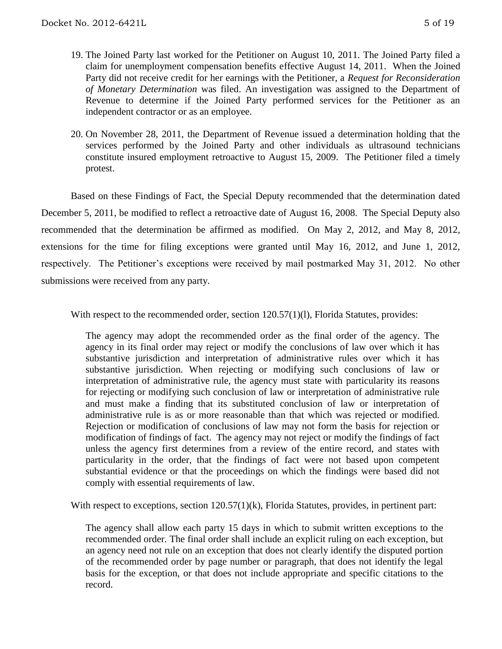- 19. The Joined Party last worked for the Petitioner on August 10, 2011. The Joined Party filed a claim for unemployment compensation benefits effective August 14, 2011. When the Joined Party did not receive credit for her earnings with the Petitioner, a *Request for Reconsideration of Monetary Determination* was filed. An investigation was assigned to the Department of Revenue to determine if the Joined Party performed services for the Petitioner as an independent contractor or as an employee.
- 20. On November 28, 2011, the Department of Revenue issued a determination holding that the services performed by the Joined Party and other individuals as ultrasound technicians constitute insured employment retroactive to August 15, 2009. The Petitioner filed a timely protest.

Based on these Findings of Fact, the Special Deputy recommended that the determination dated December 5, 2011, be modified to reflect a retroactive date of August 16, 2008. The Special Deputy also recommended that the determination be affirmed as modified. On May 2, 2012, and May 8, 2012, extensions for the time for filing exceptions were granted until May 16, 2012, and June 1, 2012, respectively. The Petitioner's exceptions were received by mail postmarked May 31, 2012. No other submissions were received from any party.

With respect to the recommended order, section 120.57(1)(1), Florida Statutes, provides:

The agency may adopt the recommended order as the final order of the agency. The agency in its final order may reject or modify the conclusions of law over which it has substantive jurisdiction and interpretation of administrative rules over which it has substantive jurisdiction. When rejecting or modifying such conclusions of law or interpretation of administrative rule, the agency must state with particularity its reasons for rejecting or modifying such conclusion of law or interpretation of administrative rule and must make a finding that its substituted conclusion of law or interpretation of administrative rule is as or more reasonable than that which was rejected or modified. Rejection or modification of conclusions of law may not form the basis for rejection or modification of findings of fact. The agency may not reject or modify the findings of fact unless the agency first determines from a review of the entire record, and states with particularity in the order, that the findings of fact were not based upon competent substantial evidence or that the proceedings on which the findings were based did not comply with essential requirements of law.

With respect to exceptions, section 120.57(1)(k), Florida Statutes, provides, in pertinent part:

The agency shall allow each party 15 days in which to submit written exceptions to the recommended order. The final order shall include an explicit ruling on each exception, but an agency need not rule on an exception that does not clearly identify the disputed portion of the recommended order by page number or paragraph, that does not identify the legal basis for the exception, or that does not include appropriate and specific citations to the record.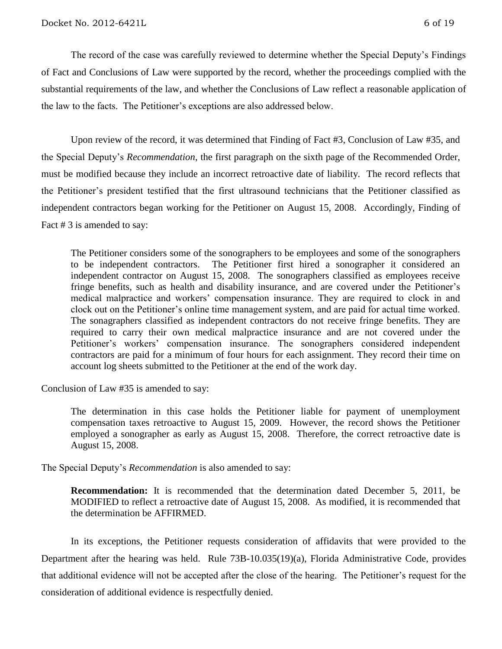The record of the case was carefully reviewed to determine whether the Special Deputy's Findings of Fact and Conclusions of Law were supported by the record, whether the proceedings complied with the substantial requirements of the law, and whether the Conclusions of Law reflect a reasonable application of the law to the facts. The Petitioner's exceptions are also addressed below.

Upon review of the record, it was determined that Finding of Fact #3, Conclusion of Law #35, and the Special Deputy's *Recommendation*, the first paragraph on the sixth page of the Recommended Order, must be modified because they include an incorrect retroactive date of liability. The record reflects that the Petitioner's president testified that the first ultrasound technicians that the Petitioner classified as independent contractors began working for the Petitioner on August 15, 2008. Accordingly, Finding of Fact # 3 is amended to say:

The Petitioner considers some of the sonographers to be employees and some of the sonographers to be independent contractors. The Petitioner first hired a sonographer it considered an independent contractor on August 15, 2008. The sonographers classified as employees receive fringe benefits, such as health and disability insurance, and are covered under the Petitioner's medical malpractice and workers' compensation insurance. They are required to clock in and clock out on the Petitioner's online time management system, and are paid for actual time worked. The sonagraphers classified as independent contractors do not receive fringe benefits. They are required to carry their own medical malpractice insurance and are not covered under the Petitioner's workers' compensation insurance. The sonographers considered independent contractors are paid for a minimum of four hours for each assignment. They record their time on account log sheets submitted to the Petitioner at the end of the work day.

Conclusion of Law #35 is amended to say:

The determination in this case holds the Petitioner liable for payment of unemployment compensation taxes retroactive to August 15, 2009. However, the record shows the Petitioner employed a sonographer as early as August 15, 2008. Therefore, the correct retroactive date is August 15, 2008.

The Special Deputy's *Recommendation* is also amended to say:

**Recommendation:** It is recommended that the determination dated December 5, 2011, be MODIFIED to reflect a retroactive date of August 15, 2008. As modified, it is recommended that the determination be AFFIRMED.

In its exceptions, the Petitioner requests consideration of affidavits that were provided to the Department after the hearing was held. Rule 73B-10.035(19)(a), Florida Administrative Code, provides that additional evidence will not be accepted after the close of the hearing. The Petitioner's request for the consideration of additional evidence is respectfully denied.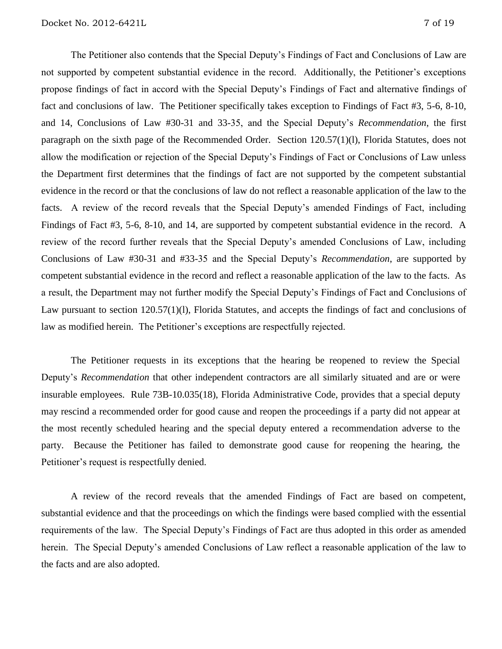The Petitioner also contends that the Special Deputy's Findings of Fact and Conclusions of Law are not supported by competent substantial evidence in the record. Additionally, the Petitioner's exceptions propose findings of fact in accord with the Special Deputy's Findings of Fact and alternative findings of fact and conclusions of law. The Petitioner specifically takes exception to Findings of Fact #3, 5-6, 8-10, and 14, Conclusions of Law #30-31 and 33-35, and the Special Deputy's *Recommendation*, the first paragraph on the sixth page of the Recommended Order. Section 120.57(1)(l), Florida Statutes, does not allow the modification or rejection of the Special Deputy's Findings of Fact or Conclusions of Law unless the Department first determines that the findings of fact are not supported by the competent substantial evidence in the record or that the conclusions of law do not reflect a reasonable application of the law to the facts.A review of the record reveals that the Special Deputy's amended Findings of Fact, including Findings of Fact #3, 5-6, 8-10, and 14, are supported by competent substantial evidence in the record. A review of the record further reveals that the Special Deputy's amended Conclusions of Law, including Conclusions of Law #30-31 and #33-35 and the Special Deputy's *Recommendation*, are supported by competent substantial evidence in the record and reflect a reasonable application of the law to the facts. As a result, the Department may not further modify the Special Deputy's Findings of Fact and Conclusions of Law pursuant to section 120.57(1)(l), Florida Statutes, and accepts the findings of fact and conclusions of law as modified herein. The Petitioner's exceptions are respectfully rejected.

The Petitioner requests in its exceptions that the hearing be reopened to review the Special Deputy's *Recommendation* that other independent contractors are all similarly situated and are or were insurable employees. Rule 73B-10.035(18), Florida Administrative Code, provides that a special deputy may rescind a recommended order for good cause and reopen the proceedings if a party did not appear at the most recently scheduled hearing and the special deputy entered a recommendation adverse to the party. Because the Petitioner has failed to demonstrate good cause for reopening the hearing, the Petitioner's request is respectfully denied.

A review of the record reveals that the amended Findings of Fact are based on competent, substantial evidence and that the proceedings on which the findings were based complied with the essential requirements of the law. The Special Deputy's Findings of Fact are thus adopted in this order as amended herein. The Special Deputy's amended Conclusions of Law reflect a reasonable application of the law to the facts and are also adopted.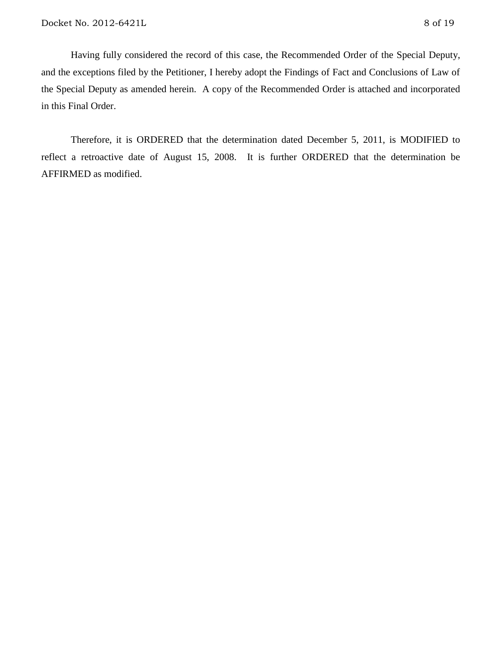Having fully considered the record of this case, the Recommended Order of the Special Deputy, and the exceptions filed by the Petitioner, I hereby adopt the Findings of Fact and Conclusions of Law of the Special Deputy as amended herein. A copy of the Recommended Order is attached and incorporated in this Final Order.

Therefore, it is ORDERED that the determination dated December 5, 2011, is MODIFIED to reflect a retroactive date of August 15, 2008. It is further ORDERED that the determination be AFFIRMED as modified.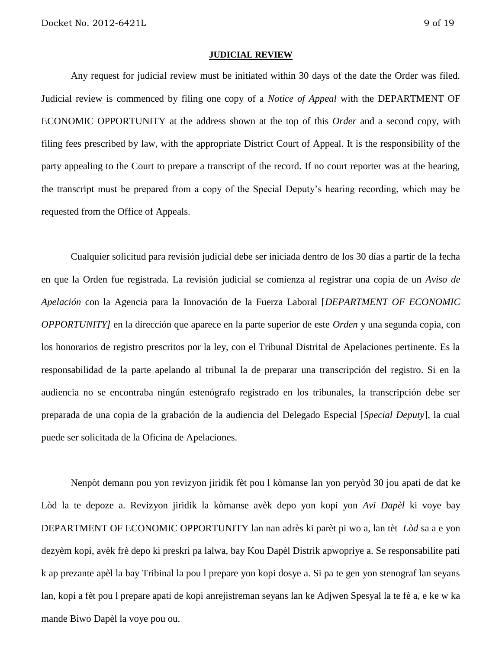#### **JUDICIAL REVIEW**

Any request for judicial review must be initiated within 30 days of the date the Order was filed. Judicial review is commenced by filing one copy of a *Notice of Appeal* with the DEPARTMENT OF ECONOMIC OPPORTUNITY at the address shown at the top of this *Order* and a second copy, with filing fees prescribed by law, with the appropriate District Court of Appeal. It is the responsibility of the party appealing to the Court to prepare a transcript of the record. If no court reporter was at the hearing, the transcript must be prepared from a copy of the Special Deputy's hearing recording, which may be requested from the Office of Appeals.

Cualquier solicitud para revisión judicial debe ser iniciada dentro de los 30 días a partir de la fecha en que la Orden fue registrada. La revisión judicial se comienza al registrar una copia de un *Aviso de Apelación* con la Agencia para la Innovación de la Fuerza Laboral [*DEPARTMENT OF ECONOMIC OPPORTUNITY]* en la dirección que aparece en la parte superior de este *Orden* y una segunda copia, con los honorarios de registro prescritos por la ley, con el Tribunal Distrital de Apelaciones pertinente. Es la responsabilidad de la parte apelando al tribunal la de preparar una transcripción del registro. Si en la audiencia no se encontraba ningún estenógrafo registrado en los tribunales, la transcripción debe ser preparada de una copia de la grabación de la audiencia del Delegado Especial [*Special Deputy*], la cual puede ser solicitada de la Oficina de Apelaciones.

Nenpòt demann pou yon revizyon jiridik fèt pou l kòmanse lan yon peryòd 30 jou apati de dat ke Lòd la te depoze a. Revizyon jiridik la kòmanse avèk depo yon kopi yon *Avi Dapèl* ki voye bay DEPARTMENT OF ECONOMIC OPPORTUNITY lan nan adrès ki parèt pi wo a, lan tèt *Lòd* sa a e yon dezyèm kopi, avèk frè depo ki preskri pa lalwa, bay Kou Dapèl Distrik apwopriye a. Se responsabilite pati k ap prezante apèl la bay Tribinal la pou l prepare yon kopi dosye a. Si pa te gen yon stenograf lan seyans lan, kopi a fèt pou l prepare apati de kopi anrejistreman seyans lan ke Adjwen Spesyal la te fè a, e ke w ka mande Biwo Dapèl la voye pou ou.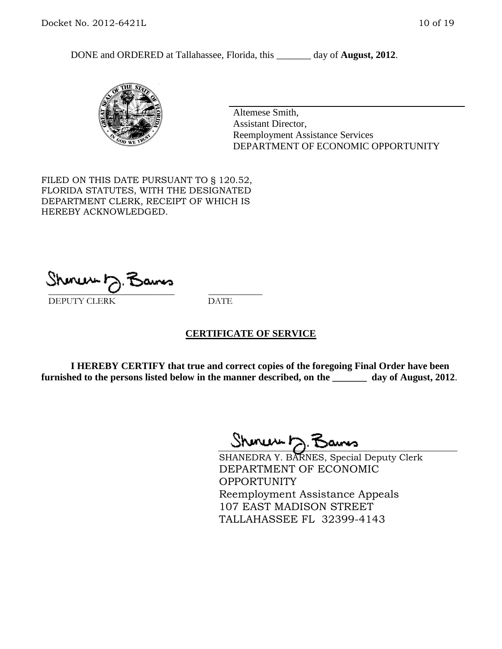DONE and ORDERED at Tallahassee, Florida, this day of **August, 2012**.



Altemese Smith, Assistant Director, Reemployment Assistance Services DEPARTMENT OF ECONOMIC OPPORTUNITY

FILED ON THIS DATE PURSUANT TO § 120.52, FLORIDA STATUTES, WITH THE DESIGNATED DEPARTMENT CLERK, RECEIPT OF WHICH IS HEREBY ACKNOWLEDGED.

 $\mathcal{S}$ hmun $\mapsto$   $\mathcal{S}$ amo DEPUTY CLERK DATE

#### **CERTIFICATE OF SERVICE**

**I HEREBY CERTIFY that true and correct copies of the foregoing Final Order have been furnished to the persons listed below in the manner described, on the \_\_\_\_\_\_\_ day of August, 2012**.

Shenew 12. Bans

SHANEDRA Y. BARNES, Special Deputy Clerk DEPARTMENT OF ECONOMIC OPPORTUNITY Reemployment Assistance Appeals 107 EAST MADISON STREET TALLAHASSEE FL 32399-4143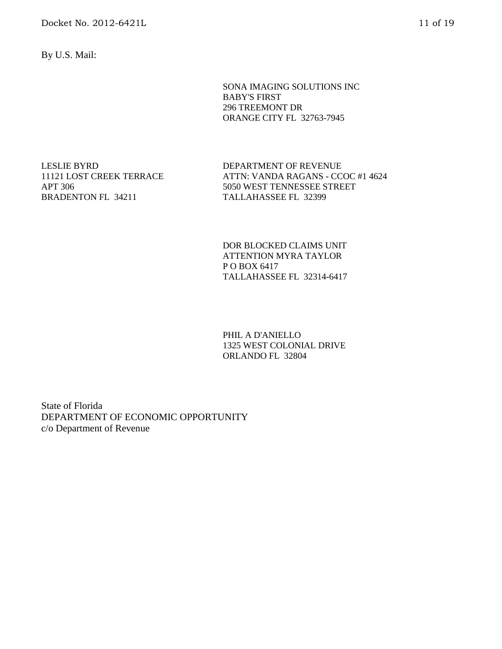By U.S. Mail:

SONA IMAGING SOLUTIONS INC BABY'S FIRST 296 TREEMONT DR ORANGE CITY FL 32763-7945

LESLIE BYRD 11121 LOST CREEK TERRACE APT 306 BRADENTON FL 34211

DEPARTMENT OF REVENUE ATTN: VANDA RAGANS - CCOC #1 4624 5050 WEST TENNESSEE STREET TALLAHASSEE FL 32399

DOR BLOCKED CLAIMS UNIT ATTENTION MYRA TAYLOR P O BOX 6417 TALLAHASSEE FL 32314-6417

PHIL A D'ANIELLO 1325 WEST COLONIAL DRIVE ORLANDO FL 32804

State of Florida DEPARTMENT OF ECONOMIC OPPORTUNITY c/o Department of Revenue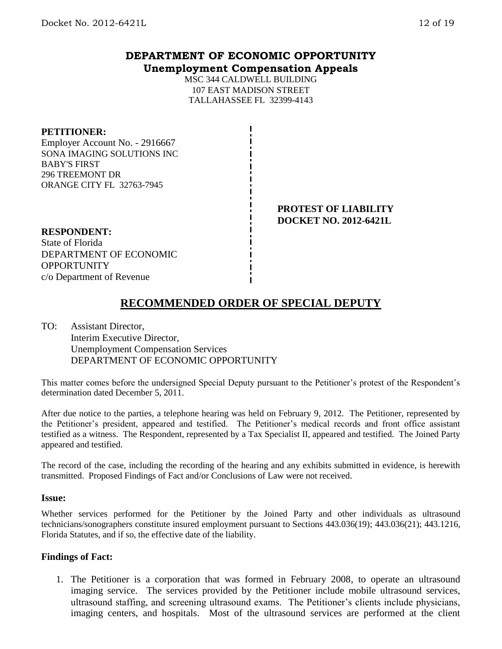## **DEPARTMENT OF ECONOMIC OPPORTUNITY Unemployment Compensation Appeals**

MSC 344 CALDWELL BUILDING 107 EAST MADISON STREET TALLAHASSEE FL 32399-4143

### **PETITIONER:**

Employer Account No. - 2916667 SONA IMAGING SOLUTIONS INC BABY'S FIRST 296 TREEMONT DR ORANGE CITY FL 32763-7945

> **PROTEST OF LIABILITY DOCKET NO. 2012-6421L**

#### **RESPONDENT:**

State of Florida DEPARTMENT OF ECONOMIC **OPPORTUNITY** c/o Department of Revenue

# **RECOMMENDED ORDER OF SPECIAL DEPUTY**

TO: Assistant Director, Interim Executive Director, Unemployment Compensation Services DEPARTMENT OF ECONOMIC OPPORTUNITY

This matter comes before the undersigned Special Deputy pursuant to the Petitioner's protest of the Respondent's determination dated December 5, 2011.

After due notice to the parties, a telephone hearing was held on February 9, 2012. The Petitioner, represented by the Petitioner's president, appeared and testified. The Petitioner's medical records and front office assistant testified as a witness. The Respondent, represented by a Tax Specialist II, appeared and testified. The Joined Party appeared and testified.

The record of the case, including the recording of the hearing and any exhibits submitted in evidence, is herewith transmitted. Proposed Findings of Fact and/or Conclusions of Law were not received.

#### **Issue:**

Whether services performed for the Petitioner by the Joined Party and other individuals as ultrasound technicians/sonographers constitute insured employment pursuant to Sections 443.036(19); 443.036(21); 443.1216, Florida Statutes, and if so, the effective date of the liability.

#### **Findings of Fact:**

1. The Petitioner is a corporation that was formed in February 2008, to operate an ultrasound imaging service. The services provided by the Petitioner include mobile ultrasound services, ultrasound staffing, and screening ultrasound exams. The Petitioner's clients include physicians, imaging centers, and hospitals. Most of the ultrasound services are performed at the client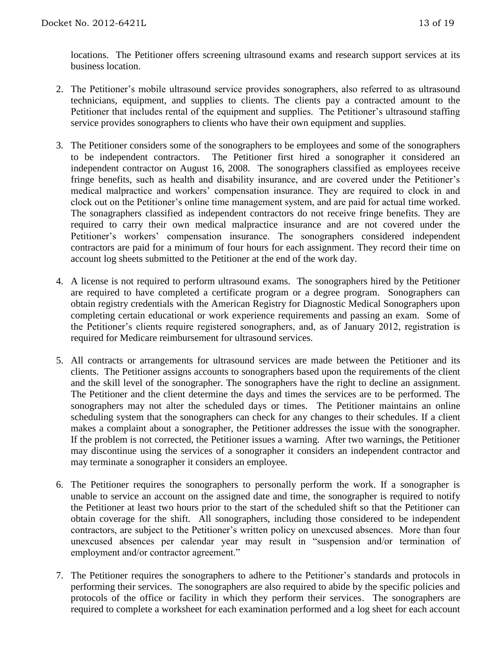locations. The Petitioner offers screening ultrasound exams and research support services at its business location.

- 2. The Petitioner's mobile ultrasound service provides sonographers, also referred to as ultrasound technicians, equipment, and supplies to clients. The clients pay a contracted amount to the Petitioner that includes rental of the equipment and supplies. The Petitioner's ultrasound staffing service provides sonographers to clients who have their own equipment and supplies.
- 3. The Petitioner considers some of the sonographers to be employees and some of the sonographers to be independent contractors. The Petitioner first hired a sonographer it considered an independent contractor on August 16, 2008. The sonographers classified as employees receive fringe benefits, such as health and disability insurance, and are covered under the Petitioner's medical malpractice and workers' compensation insurance. They are required to clock in and clock out on the Petitioner's online time management system, and are paid for actual time worked. The sonagraphers classified as independent contractors do not receive fringe benefits. They are required to carry their own medical malpractice insurance and are not covered under the Petitioner's workers' compensation insurance. The sonographers considered independent contractors are paid for a minimum of four hours for each assignment. They record their time on account log sheets submitted to the Petitioner at the end of the work day.
- 4. A license is not required to perform ultrasound exams. The sonographers hired by the Petitioner are required to have completed a certificate program or a degree program. Sonographers can obtain registry credentials with the American Registry for Diagnostic Medical Sonographers upon completing certain educational or work experience requirements and passing an exam. Some of the Petitioner's clients require registered sonographers, and, as of January 2012, registration is required for Medicare reimbursement for ultrasound services.
- 5. All contracts or arrangements for ultrasound services are made between the Petitioner and its clients. The Petitioner assigns accounts to sonographers based upon the requirements of the client and the skill level of the sonographer. The sonographers have the right to decline an assignment. The Petitioner and the client determine the days and times the services are to be performed. The sonographers may not alter the scheduled days or times. The Petitioner maintains an online scheduling system that the sonographers can check for any changes to their schedules. If a client makes a complaint about a sonographer, the Petitioner addresses the issue with the sonographer. If the problem is not corrected, the Petitioner issues a warning. After two warnings, the Petitioner may discontinue using the services of a sonographer it considers an independent contractor and may terminate a sonographer it considers an employee.
- 6. The Petitioner requires the sonographers to personally perform the work. If a sonographer is unable to service an account on the assigned date and time, the sonographer is required to notify the Petitioner at least two hours prior to the start of the scheduled shift so that the Petitioner can obtain coverage for the shift. All sonographers, including those considered to be independent contractors, are subject to the Petitioner's written policy on unexcused absences. More than four unexcused absences per calendar year may result in "suspension and/or termination of employment and/or contractor agreement."
- 7. The Petitioner requires the sonographers to adhere to the Petitioner's standards and protocols in performing their services. The sonographers are also required to abide by the specific policies and protocols of the office or facility in which they perform their services. The sonographers are required to complete a worksheet for each examination performed and a log sheet for each account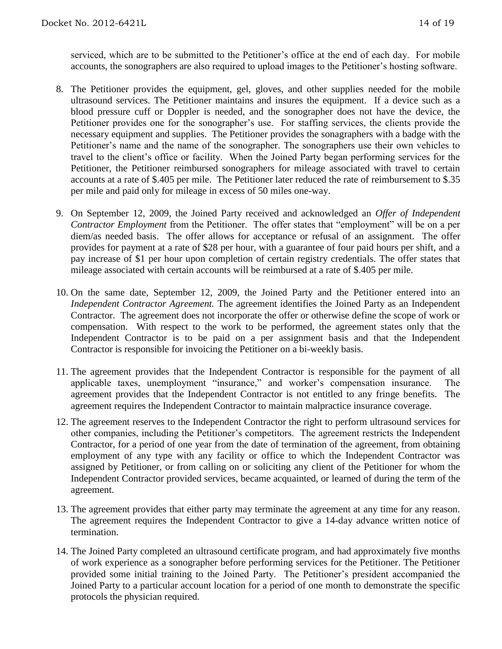serviced, which are to be submitted to the Petitioner's office at the end of each day. For mobile accounts, the sonographers are also required to upload images to the Petitioner's hosting software.

- 8. The Petitioner provides the equipment, gel, gloves, and other supplies needed for the mobile ultrasound services. The Petitioner maintains and insures the equipment. If a device such as a blood pressure cuff or Doppler is needed, and the sonographer does not have the device, the Petitioner provides one for the sonographer's use. For staffing services, the clients provide the necessary equipment and supplies. The Petitioner provides the sonagraphers with a badge with the Petitioner's name and the name of the sonographer. The sonographers use their own vehicles to travel to the client's office or facility. When the Joined Party began performing services for the Petitioner, the Petitioner reimbursed sonographers for mileage associated with travel to certain accounts at a rate of \$.405 per mile. The Petitioner later reduced the rate of reimbursement to \$.35 per mile and paid only for mileage in excess of 50 miles one-way.
- 9. On September 12, 2009, the Joined Party received and acknowledged an *Offer of Independent Contractor Employment* from the Petitioner. The offer states that "employment" will be on a per diem/as needed basis. The offer allows for acceptance or refusal of an assignment. The offer provides for payment at a rate of \$28 per hour, with a guarantee of four paid hours per shift, and a pay increase of \$1 per hour upon completion of certain registry credentials. The offer states that mileage associated with certain accounts will be reimbursed at a rate of \$.405 per mile.
- 10. On the same date, September 12, 2009, the Joined Party and the Petitioner entered into an *Independent Contractor Agreement.* The agreement identifies the Joined Party as an Independent Contractor. The agreement does not incorporate the offer or otherwise define the scope of work or compensation. With respect to the work to be performed, the agreement states only that the Independent Contractor is to be paid on a per assignment basis and that the Independent Contractor is responsible for invoicing the Petitioner on a bi-weekly basis.
- 11. The agreement provides that the Independent Contractor is responsible for the payment of all applicable taxes, unemployment "insurance," and worker's compensation insurance. The agreement provides that the Independent Contractor is not entitled to any fringe benefits. The agreement requires the Independent Contractor to maintain malpractice insurance coverage.
- 12. The agreement reserves to the Independent Contractor the right to perform ultrasound services for other companies, including the Petitioner's competitors. The agreement restricts the Independent Contractor, for a period of one year from the date of termination of the agreement, from obtaining employment of any type with any facility or office to which the Independent Contractor was assigned by Petitioner, or from calling on or soliciting any client of the Petitioner for whom the Independent Contractor provided services, became acquainted, or learned of during the term of the agreement.
- 13. The agreement provides that either party may terminate the agreement at any time for any reason. The agreement requires the Independent Contractor to give a 14-day advance written notice of termination.
- 14. The Joined Party completed an ultrasound certificate program, and had approximately five months of work experience as a sonographer before performing services for the Petitioner. The Petitioner provided some initial training to the Joined Party. The Petitioner's president accompanied the Joined Party to a particular account location for a period of one month to demonstrate the specific protocols the physician required.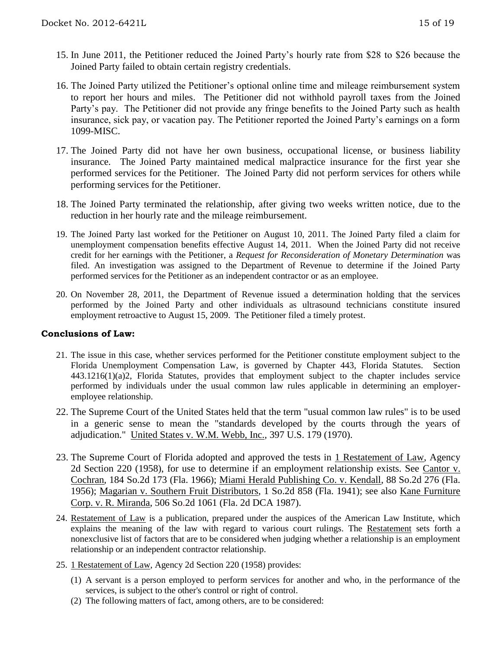- 15. In June 2011, the Petitioner reduced the Joined Party's hourly rate from \$28 to \$26 because the Joined Party failed to obtain certain registry credentials.
- 16. The Joined Party utilized the Petitioner's optional online time and mileage reimbursement system to report her hours and miles. The Petitioner did not withhold payroll taxes from the Joined Party's pay. The Petitioner did not provide any fringe benefits to the Joined Party such as health insurance, sick pay, or vacation pay. The Petitioner reported the Joined Party's earnings on a form 1099-MISC.
- 17. The Joined Party did not have her own business, occupational license, or business liability insurance. The Joined Party maintained medical malpractice insurance for the first year she performed services for the Petitioner. The Joined Party did not perform services for others while performing services for the Petitioner.
- 18. The Joined Party terminated the relationship, after giving two weeks written notice, due to the reduction in her hourly rate and the mileage reimbursement.
- 19. The Joined Party last worked for the Petitioner on August 10, 2011. The Joined Party filed a claim for unemployment compensation benefits effective August 14, 2011. When the Joined Party did not receive credit for her earnings with the Petitioner, a *Request for Reconsideration of Monetary Determination* was filed. An investigation was assigned to the Department of Revenue to determine if the Joined Party performed services for the Petitioner as an independent contractor or as an employee.
- 20. On November 28, 2011, the Department of Revenue issued a determination holding that the services performed by the Joined Party and other individuals as ultrasound technicians constitute insured employment retroactive to August 15, 2009. The Petitioner filed a timely protest.

### **Conclusions of Law:**

- 21. The issue in this case, whether services performed for the Petitioner constitute employment subject to the Florida Unemployment Compensation Law, is governed by Chapter 443, Florida Statutes. Section 443.1216(1)(a)2, Florida Statutes, provides that employment subject to the chapter includes service performed by individuals under the usual common law rules applicable in determining an employeremployee relationship.
- 22. The Supreme Court of the United States held that the term "usual common law rules" is to be used in a generic sense to mean the "standards developed by the courts through the years of adjudication." United States v. W.M. Webb, Inc., 397 U.S. 179 (1970).
- 23. The Supreme Court of Florida adopted and approved the tests in 1 Restatement of Law, Agency 2d Section 220 (1958), for use to determine if an employment relationship exists. See Cantor v. Cochran, 184 So.2d 173 (Fla. 1966); Miami Herald Publishing Co. v. Kendall, 88 So.2d 276 (Fla. 1956); Magarian v. Southern Fruit Distributors, 1 So.2d 858 (Fla. 1941); see also Kane Furniture Corp. v. R. Miranda, 506 So.2d 1061 (Fla. 2d DCA 1987).
- 24. Restatement of Law is a publication, prepared under the auspices of the American Law Institute, which explains the meaning of the law with regard to various court rulings. The Restatement sets forth a nonexclusive list of factors that are to be considered when judging whether a relationship is an employment relationship or an independent contractor relationship.
- 25. 1 Restatement of Law, Agency 2d Section 220 (1958) provides:
	- (1) A servant is a person employed to perform services for another and who, in the performance of the services, is subject to the other's control or right of control.
	- (2) The following matters of fact, among others, are to be considered: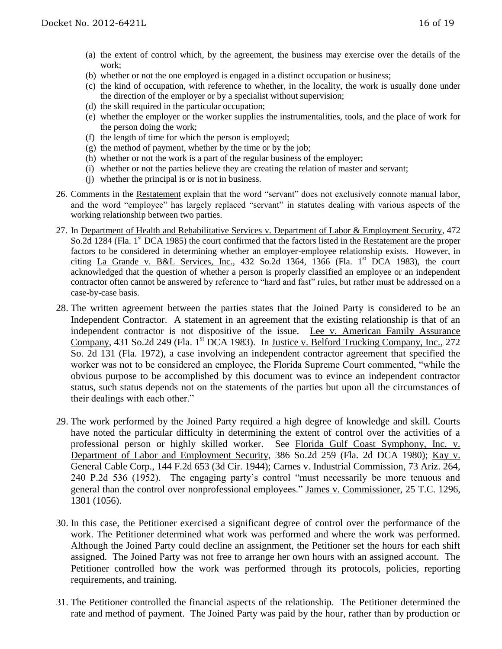- (a) the extent of control which, by the agreement, the business may exercise over the details of the work;
- (b) whether or not the one employed is engaged in a distinct occupation or business;
- (c) the kind of occupation, with reference to whether, in the locality, the work is usually done under the direction of the employer or by a specialist without supervision;
- (d) the skill required in the particular occupation;
- (e) whether the employer or the worker supplies the instrumentalities, tools, and the place of work for the person doing the work;
- (f) the length of time for which the person is employed;
- $(g)$  the method of payment, whether by the time or by the job;
- (h) whether or not the work is a part of the regular business of the employer;
- (i) whether or not the parties believe they are creating the relation of master and servant;
- (j) whether the principal is or is not in business.
- 26. Comments in the Restatement explain that the word "servant" does not exclusively connote manual labor, and the word "employee" has largely replaced "servant" in statutes dealing with various aspects of the working relationship between two parties.
- 27. In Department of Health and Rehabilitative Services v. Department of Labor & Employment Security, 472 So.2d 1284 (Fla. 1<sup>st</sup> DCA 1985) the court confirmed that the factors listed in the Restatement are the proper factors to be considered in determining whether an employer-employee relationship exists. However, in citing La Grande v. B&L Services, Inc., 432 So.2d 1364, 1366 (Fla. 1<sup>st</sup> DCA 1983), the court acknowledged that the question of whether a person is properly classified an employee or an independent contractor often cannot be answered by reference to "hard and fast" rules, but rather must be addressed on a case-by-case basis.
- 28. The written agreement between the parties states that the Joined Party is considered to be an Independent Contractor. A statement in an agreement that the existing relationship is that of an independent contractor is not dispositive of the issue. Lee v. American Family Assurance Company, 431 So.2d 249 (Fla. 1<sup>st</sup> DCA 1983). In Justice v. Belford Trucking Company, Inc., 272 So. 2d 131 (Fla. 1972), a case involving an independent contractor agreement that specified the worker was not to be considered an employee, the Florida Supreme Court commented, "while the obvious purpose to be accomplished by this document was to evince an independent contractor status, such status depends not on the statements of the parties but upon all the circumstances of their dealings with each other."
- 29. The work performed by the Joined Party required a high degree of knowledge and skill. Courts have noted the particular difficulty in determining the extent of control over the activities of a professional person or highly skilled worker. See Florida Gulf Coast Symphony, Inc. v. Department of Labor and Employment Security, 386 So.2d 259 (Fla. 2d DCA 1980); Kay v. General Cable Corp., 144 F.2d 653 (3d Cir. 1944); Carnes v. Industrial Commission, 73 Ariz. 264, 240 P.2d 536 (1952). The engaging party's control "must necessarily be more tenuous and general than the control over nonprofessional employees." James v. Commissioner, 25 T.C. 1296, 1301 (1056).
- 30. In this case, the Petitioner exercised a significant degree of control over the performance of the work. The Petitioner determined what work was performed and where the work was performed. Although the Joined Party could decline an assignment, the Petitioner set the hours for each shift assigned. The Joined Party was not free to arrange her own hours with an assigned account. The Petitioner controlled how the work was performed through its protocols, policies, reporting requirements, and training.
- 31. The Petitioner controlled the financial aspects of the relationship. The Petitioner determined the rate and method of payment. The Joined Party was paid by the hour, rather than by production or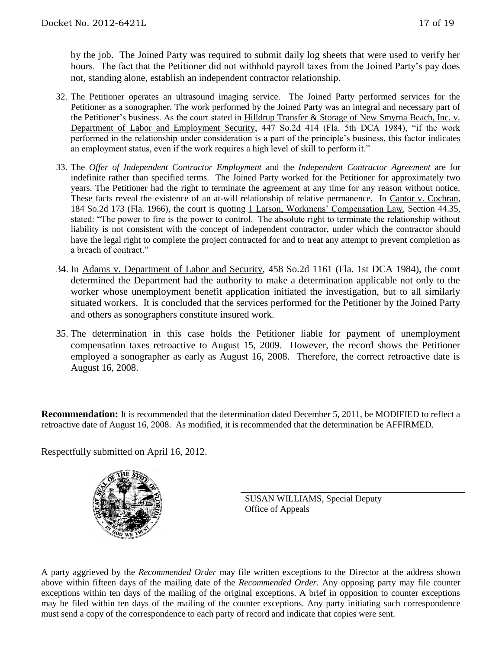by the job. The Joined Party was required to submit daily log sheets that were used to verify her hours. The fact that the Petitioner did not withhold payroll taxes from the Joined Party's pay does not, standing alone, establish an independent contractor relationship.

- 32. The Petitioner operates an ultrasound imaging service. The Joined Party performed services for the Petitioner as a sonographer. The work performed by the Joined Party was an integral and necessary part of the Petitioner's business. As the court stated in Hilldrup Transfer & Storage of New Smyrna Beach, Inc. v. Department of Labor and Employment Security, 447 So.2d 414 (Fla. 5th DCA 1984), "if the work performed in the relationship under consideration is a part of the principle's business, this factor indicates an employment status, even if the work requires a high level of skill to perform it."
- 33. The *Offer of Independent Contractor Employment* and the *Independent Contractor Agreement* are for indefinite rather than specified terms. The Joined Party worked for the Petitioner for approximately two years. The Petitioner had the right to terminate the agreement at any time for any reason without notice. These facts reveal the existence of an at-will relationship of relative permanence. In Cantor v. Cochran, 184 So.2d 173 (Fla. 1966), the court is quoting 1 Larson, Workmens' Compensation Law, Section 44.35, stated: "The power to fire is the power to control. The absolute right to terminate the relationship without liability is not consistent with the concept of independent contractor, under which the contractor should have the legal right to complete the project contracted for and to treat any attempt to prevent completion as a breach of contract."
- 34. In Adams v. Department of Labor and Security, 458 So.2d 1161 (Fla. 1st DCA 1984), the court determined the Department had the authority to make a determination applicable not only to the worker whose unemployment benefit application initiated the investigation, but to all similarly situated workers. It is concluded that the services performed for the Petitioner by the Joined Party and others as sonographers constitute insured work.
- 35. The determination in this case holds the Petitioner liable for payment of unemployment compensation taxes retroactive to August 15, 2009. However, the record shows the Petitioner employed a sonographer as early as August 16, 2008. Therefore, the correct retroactive date is August 16, 2008.

**Recommendation:** It is recommended that the determination dated December 5, 2011, be MODIFIED to reflect a retroactive date of August 16, 2008. As modified, it is recommended that the determination be AFFIRMED.

Respectfully submitted on April 16, 2012.



SUSAN WILLIAMS, Special Deputy Office of Appeals

A party aggrieved by the *Recommended Order* may file written exceptions to the Director at the address shown above within fifteen days of the mailing date of the *Recommended Order*. Any opposing party may file counter exceptions within ten days of the mailing of the original exceptions. A brief in opposition to counter exceptions may be filed within ten days of the mailing of the counter exceptions. Any party initiating such correspondence must send a copy of the correspondence to each party of record and indicate that copies were sent.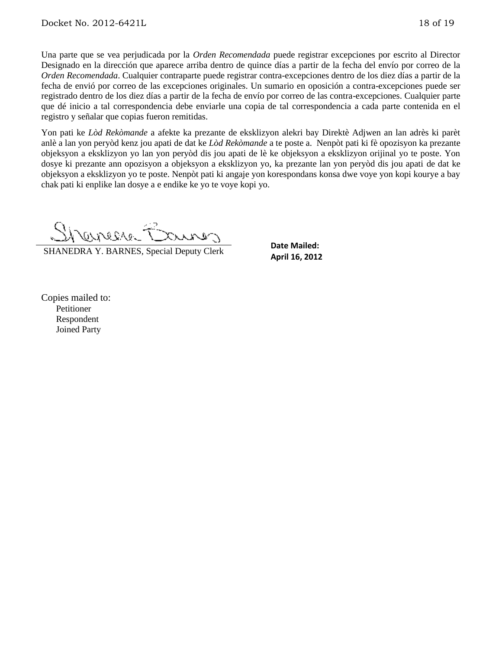Una parte que se vea perjudicada por la *Orden Recomendada* puede registrar excepciones por escrito al Director Designado en la dirección que aparece arriba dentro de quince días a partir de la fecha del envío por correo de la *Orden Recomendada*. Cualquier contraparte puede registrar contra-excepciones dentro de los diez días a partir de la fecha de envió por correo de las excepciones originales. Un sumario en oposición a contra-excepciones puede ser registrado dentro de los diez días a partir de la fecha de envío por correo de las contra-excepciones. Cualquier parte que dé inicio a tal correspondencia debe enviarle una copia de tal correspondencia a cada parte contenida en el registro y señalar que copias fueron remitidas.

Yon pati ke *Lòd Rekòmande* a afekte ka prezante de eksklizyon alekri bay Direktè Adjwen an lan adrès ki parèt anlè a lan yon peryòd kenz jou apati de dat ke *Lòd Rekòmande* a te poste a. Nenpòt pati ki fè opozisyon ka prezante objeksyon a eksklizyon yo lan yon peryòd dis jou apati de lè ke objeksyon a eksklizyon orijinal yo te poste. Yon dosye ki prezante ann opozisyon a objeksyon a eksklizyon yo, ka prezante lan yon peryòd dis jou apati de dat ke objeksyon a eksklizyon yo te poste. Nenpòt pati ki angaje yon korespondans konsa dwe voye yon kopi kourye a bay chak pati ki enplike lan dosye a e endike ke yo te voye kopi yo.

SHANEDRA Y. BARNES, Special Deputy Clerk

**Date Mailed: April 16, 2012**

Copies mailed to: Petitioner Respondent Joined Party